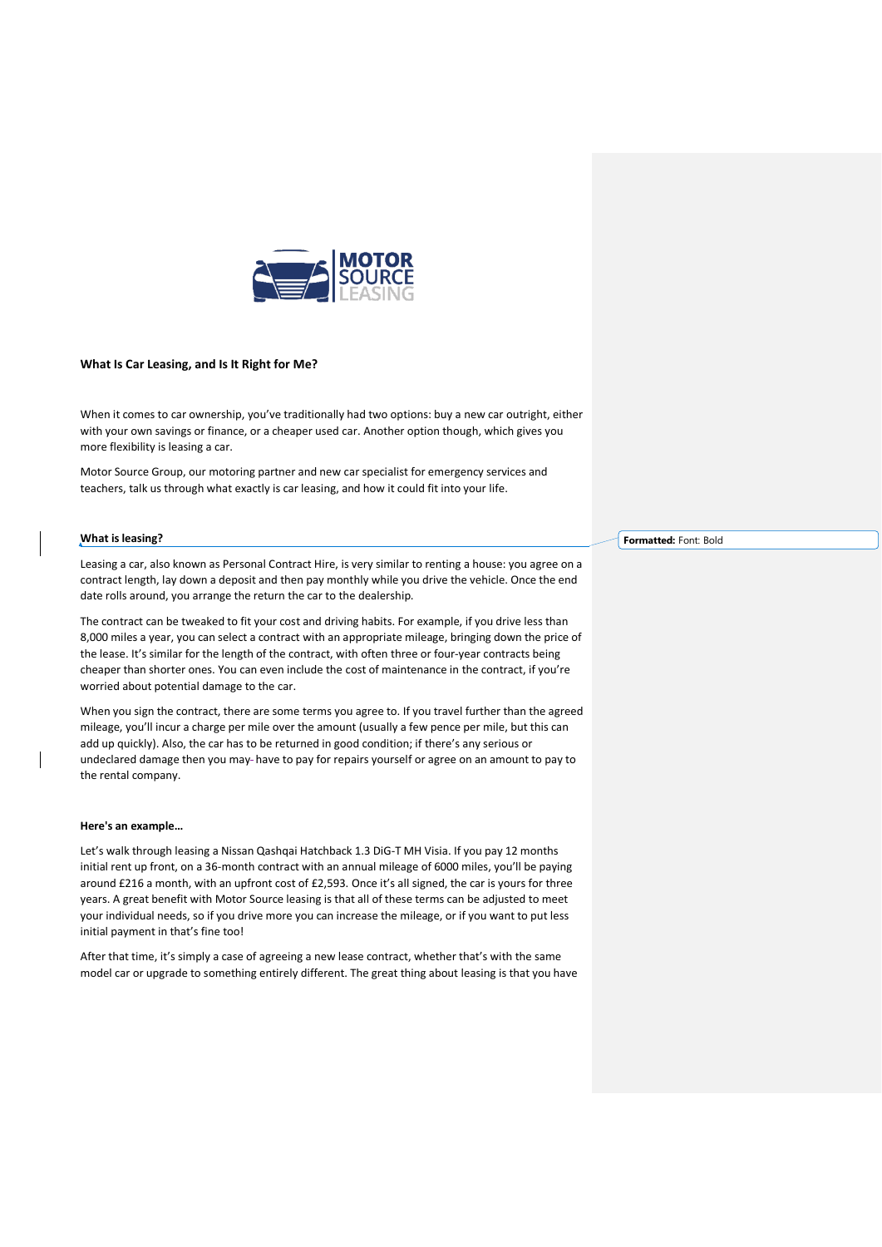

## **What Is Car Leasi[ng, and Is It Right for Me?](https://motorsourceleasing.com/)**

When it comes to car ownership, you've traditionally had two options: buy a new car outright, either with your own savings or finance, or a cheaper used car. Another option though, which gives you more flexibility is leasing a car.

Motor Source Group, our motoring partner and new car specialist for emergency services and teachers, talk us through what exactly is car leasing, and how it could fit into your life.

## **What is leasing?**

Leasing a car, also known as Personal Contract Hire, is very similar to renting a house: you agree on a contract length, lay down a deposit and then pay monthly while you drive the vehicle. Once the end date rolls around, you arrange the return the car to the dealership.

The contract can be tweaked to fit your cost and driving habits. For example, if you drive less than 8,000 miles a year, you can select a contract with an appropriate mileage, bringing down the price of the lease. It's similar for the length of the contract, with often three or four-year contracts being cheaper than shorter ones. You can even include the cost of maintenance in the contract, if you're worried about potential damage to the car.

When you sign the contract, there are some terms you agree to. If you travel further than the agreed mileage, you'll incur a charge per mile over the amount (usually a few pence per mile, but this can add up quickly). Also, the car has to be returned in good condition; if there's any serious or undeclared damage then you may-have to pay for repairs yourself or agree on an amount to pay to the rental company.

## **Here's an example…**

Let's walk through leasing a Nissan Qashqai Hatchback 1.3 DiG-T MH Visia. If you pay 12 months initial rent up front, on a 36-month contract with an annual mileage of 6000 miles, you'll be paying around £216 a month, with an upfront cost of £2,593. Once it's all signed, the car is yours for three years. A great benefit with Motor Source leasing is that all of these terms can be adjusted to meet your individual needs, so if you drive more you can increase the mileage, or if you want to put less initial payment in that's fine too!

After that time, it's simply a case of agreeing a new lease contract, whether that's with the same model car or upgrade to something entirely different. The great thing about leasing is that you have **Formatted:** Font: Bold